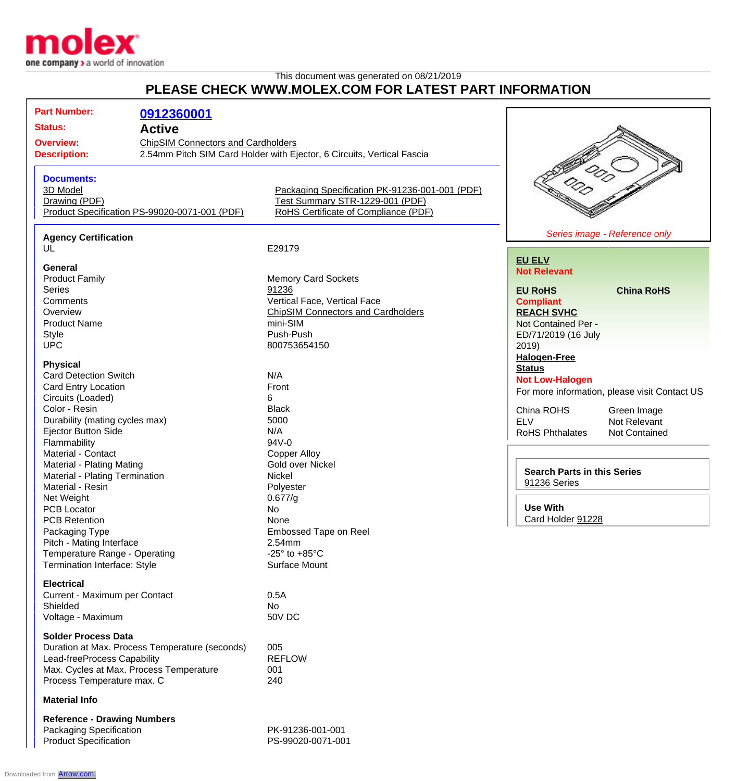

## This document was generated on 08/21/2019 **PLEASE CHECK WWW.MOLEX.COM FOR LATEST PART INFORMATION**

| <b>Part Number:</b>                                                                  | 0912360001    |                                                                         |                                               |
|--------------------------------------------------------------------------------------|---------------|-------------------------------------------------------------------------|-----------------------------------------------|
| <b>Status:</b>                                                                       | <b>Active</b> |                                                                         |                                               |
| <b>Overview:</b><br><b>ChipSIM Connectors and Cardholders</b><br><b>Description:</b> |               |                                                                         |                                               |
|                                                                                      |               | 2.54mm Pitch SIM Card Holder with Ejector, 6 Circuits, Vertical Fascia  |                                               |
|                                                                                      |               |                                                                         |                                               |
| <b>Documents:</b>                                                                    |               |                                                                         |                                               |
| 3D Model                                                                             |               | Packaging Specification PK-91236-001-001 (PDF)                          |                                               |
| Drawing (PDF)<br>Product Specification PS-99020-0071-001 (PDF)                       |               | Test Summary STR-1229-001 (PDF)<br>RoHS Certificate of Compliance (PDF) |                                               |
|                                                                                      |               |                                                                         |                                               |
| <b>Agency Certification</b>                                                          |               |                                                                         | Series image - Reference only                 |
| UL                                                                                   |               | E29179                                                                  |                                               |
| <b>General</b>                                                                       |               |                                                                         | <b>EU ELV</b><br><b>Not Relevant</b>          |
| <b>Product Family</b>                                                                |               | <b>Memory Card Sockets</b>                                              |                                               |
| <b>Series</b>                                                                        |               | 91236                                                                   | <b>EU RoHS</b><br><b>China RoHS</b>           |
| Comments                                                                             |               | Vertical Face, Vertical Face                                            | <b>Compliant</b>                              |
| Overview                                                                             |               | <b>ChipSIM Connectors and Cardholders</b>                               | <b>REACH SVHC</b>                             |
| <b>Product Name</b>                                                                  |               | mini-SIM                                                                | Not Contained Per -                           |
|                                                                                      |               |                                                                         |                                               |
| <b>Style</b>                                                                         |               | Push-Push                                                               | ED/71/2019 (16 July                           |
| <b>UPC</b>                                                                           |               | 800753654150                                                            | 2019)                                         |
| <b>Physical</b>                                                                      |               |                                                                         | <b>Halogen-Free</b>                           |
|                                                                                      |               |                                                                         | <b>Status</b>                                 |
| <b>Card Detection Switch</b>                                                         |               | N/A                                                                     | <b>Not Low-Halogen</b>                        |
| Card Entry Location                                                                  |               | Front                                                                   | For more information, please visit Contact US |
| Circuits (Loaded)                                                                    |               | 6                                                                       |                                               |
| Color - Resin                                                                        |               | <b>Black</b>                                                            | China ROHS<br>Green Image                     |
| Durability (mating cycles max)                                                       |               | 5000                                                                    | <b>ELV</b><br>Not Relevant                    |
| Ejector Button Side                                                                  |               | N/A                                                                     | RoHS Phthalates<br>Not Contained              |
| Flammability                                                                         |               | $94V - 0$                                                               |                                               |
| Material - Contact                                                                   |               | <b>Copper Alloy</b>                                                     |                                               |
| <b>Material - Plating Mating</b>                                                     |               | Gold over Nickel                                                        |                                               |
| Material - Plating Termination                                                       |               | Nickel                                                                  | <b>Search Parts in this Series</b>            |
| Material - Resin                                                                     |               | Polyester                                                               | 91236 Series                                  |
|                                                                                      |               |                                                                         |                                               |
| Net Weight                                                                           |               | 0.677/g                                                                 |                                               |
| PCB Locator                                                                          |               | No                                                                      | <b>Use With</b>                               |
| <b>PCB Retention</b>                                                                 |               | None                                                                    | Card Holder 91228                             |
| Packaging Type                                                                       |               | Embossed Tape on Reel                                                   |                                               |
| Pitch - Mating Interface                                                             |               | 2.54mm                                                                  |                                               |
| Temperature Range - Operating                                                        |               | -25 $\degree$ to +85 $\degree$ C                                        |                                               |
| Termination Interface: Style                                                         |               | Surface Mount                                                           |                                               |
| <b>Electrical</b>                                                                    |               |                                                                         |                                               |
| Current - Maximum per Contact                                                        |               | 0.5A                                                                    |                                               |
| Shielded                                                                             |               | No                                                                      |                                               |
| Voltage - Maximum                                                                    |               | <b>50V DC</b>                                                           |                                               |
| <b>Solder Process Data</b>                                                           |               |                                                                         |                                               |
| Duration at Max. Process Temperature (seconds)                                       |               | 005                                                                     |                                               |
| Lead-freeProcess Capability                                                          |               | <b>REFLOW</b>                                                           |                                               |
| Max. Cycles at Max. Process Temperature                                              |               | 001                                                                     |                                               |
| Process Temperature max. C                                                           |               | 240                                                                     |                                               |
| <b>Material Info</b>                                                                 |               |                                                                         |                                               |
| <b>Reference - Drawing Numbers</b>                                                   |               |                                                                         |                                               |
| Packaging Specification                                                              |               | PK-91236-001-001                                                        |                                               |
| <b>Product Specification</b>                                                         |               | PS-99020-0071-001                                                       |                                               |

Downloaded from **[Arrow.com.](http://www.arrow.com)**